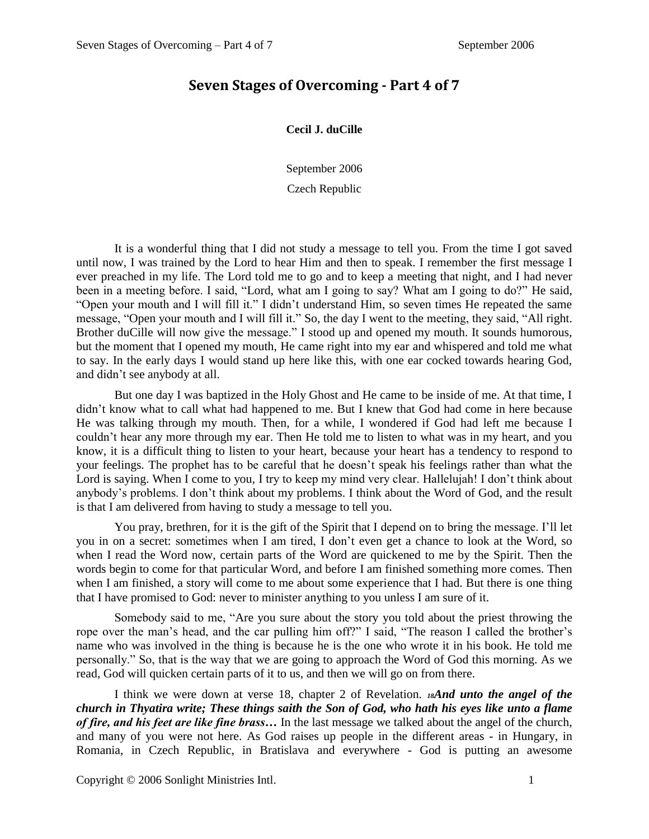## **Seven Stages of Overcoming - Part 4 of 7**

## **Cecil J. duCille**

September 2006

Czech Republic

It is a wonderful thing that I did not study a message to tell you. From the time I got saved until now, I was trained by the Lord to hear Him and then to speak. I remember the first message I ever preached in my life. The Lord told me to go and to keep a meeting that night, and I had never been in a meeting before. I said, "Lord, what am I going to say? What am I going to do?" He said, "Open your mouth and I will fill it." I didn't understand Him, so seven times He repeated the same message, "Open your mouth and I will fill it." So, the day I went to the meeting, they said, "All right. Brother duCille will now give the message." I stood up and opened my mouth. It sounds humorous, but the moment that I opened my mouth, He came right into my ear and whispered and told me what to say. In the early days I would stand up here like this, with one ear cocked towards hearing God, and didn't see anybody at all.

But one day I was baptized in the Holy Ghost and He came to be inside of me. At that time, I didn't know what to call what had happened to me. But I knew that God had come in here because He was talking through my mouth. Then, for a while, I wondered if God had left me because I couldn't hear any more through my ear. Then He told me to listen to what was in my heart, and you know, it is a difficult thing to listen to your heart, because your heart has a tendency to respond to your feelings. The prophet has to be careful that he doesn't speak his feelings rather than what the Lord is saying. When I come to you, I try to keep my mind very clear. Hallelujah! I don't think about anybody's problems. I don't think about my problems. I think about the Word of God, and the result is that I am delivered from having to study a message to tell you.

You pray, brethren, for it is the gift of the Spirit that I depend on to bring the message. I'll let you in on a secret: sometimes when I am tired, I don't even get a chance to look at the Word, so when I read the Word now, certain parts of the Word are quickened to me by the Spirit. Then the words begin to come for that particular Word, and before I am finished something more comes. Then when I am finished, a story will come to me about some experience that I had. But there is one thing that I have promised to God: never to minister anything to you unless I am sure of it.

Somebody said to me, "Are you sure about the story you told about the priest throwing the rope over the man's head, and the car pulling him off?" I said, "The reason I called the brother's name who was involved in the thing is because he is the one who wrote it in his book. He told me personally." So, that is the way that we are going to approach the Word of God this morning. As we read, God will quicken certain parts of it to us, and then we will go on from there.

I think we were down at verse 18, chapter 2 of Revelation. *18And unto the angel of the church in Thyatira write; These things saith the Son of God, who hath his eyes like unto a flame of fire, and his feet are like fine brass…* In the last message we talked about the angel of the church, and many of you were not here. As God raises up people in the different areas - in Hungary, in Romania, in Czech Republic, in Bratislava and everywhere - God is putting an awesome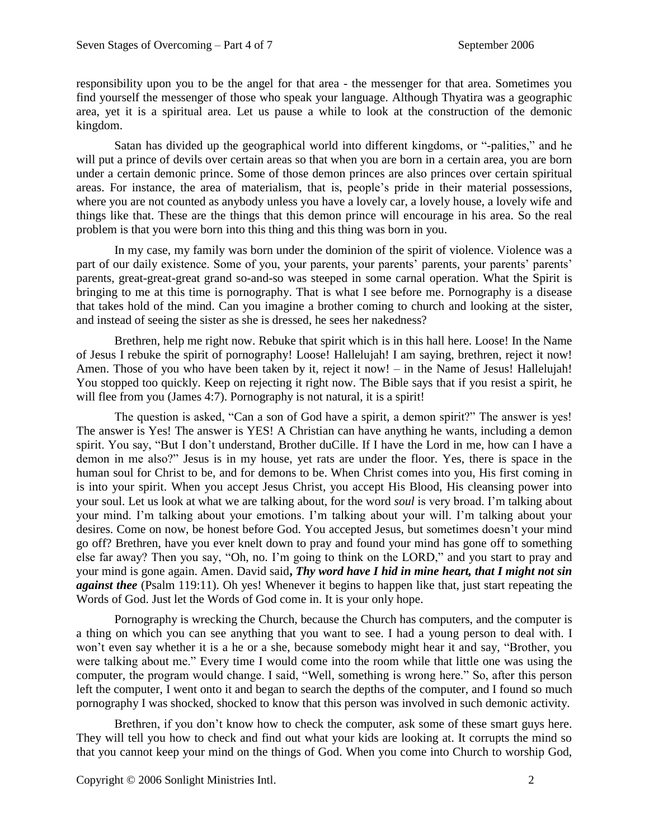responsibility upon you to be the angel for that area - the messenger for that area. Sometimes you find yourself the messenger of those who speak your language. Although Thyatira was a geographic area, yet it is a spiritual area. Let us pause a while to look at the construction of the demonic kingdom.

Satan has divided up the geographical world into different kingdoms, or "-palities," and he will put a prince of devils over certain areas so that when you are born in a certain area, you are born under a certain demonic prince. Some of those demon princes are also princes over certain spiritual areas. For instance, the area of materialism, that is, people's pride in their material possessions, where you are not counted as anybody unless you have a lovely car, a lovely house, a lovely wife and things like that. These are the things that this demon prince will encourage in his area. So the real problem is that you were born into this thing and this thing was born in you.

In my case, my family was born under the dominion of the spirit of violence. Violence was a part of our daily existence. Some of you, your parents, your parents' parents, your parents' parents' parents, great-great-great grand so-and-so was steeped in some carnal operation. What the Spirit is bringing to me at this time is pornography. That is what I see before me. Pornography is a disease that takes hold of the mind. Can you imagine a brother coming to church and looking at the sister, and instead of seeing the sister as she is dressed, he sees her nakedness?

Brethren, help me right now. Rebuke that spirit which is in this hall here. Loose! In the Name of Jesus I rebuke the spirit of pornography! Loose! Hallelujah! I am saying, brethren, reject it now! Amen. Those of you who have been taken by it, reject it now! – in the Name of Jesus! Hallelujah! You stopped too quickly. Keep on rejecting it right now. The Bible says that if you resist a spirit, he will flee from you (James 4:7). Pornography is not natural, it is a spirit!

The question is asked, "Can a son of God have a spirit, a demon spirit?" The answer is yes! The answer is Yes! The answer is YES! A Christian can have anything he wants, including a demon spirit. You say, "But I don't understand, Brother duCille. If I have the Lord in me, how can I have a demon in me also?" Jesus is in my house, yet rats are under the floor. Yes, there is space in the human soul for Christ to be, and for demons to be. When Christ comes into you, His first coming in is into your spirit. When you accept Jesus Christ, you accept His Blood, His cleansing power into your soul. Let us look at what we are talking about, for the word *soul* is very broad. I'm talking about your mind. I'm talking about your emotions. I'm talking about your will. I'm talking about your desires. Come on now, be honest before God. You accepted Jesus, but sometimes doesn't your mind go off? Brethren, have you ever knelt down to pray and found your mind has gone off to something else far away? Then you say, "Oh, no. I'm going to think on the LORD," and you start to pray and your mind is gone again. Amen. David said**,** *Thy word have I hid in mine heart, that I might not sin against thee* (Psalm 119:11). Oh yes! Whenever it begins to happen like that, just start repeating the Words of God. Just let the Words of God come in. It is your only hope.

Pornography is wrecking the Church, because the Church has computers, and the computer is a thing on which you can see anything that you want to see. I had a young person to deal with. I won't even say whether it is a he or a she, because somebody might hear it and say, "Brother, you were talking about me." Every time I would come into the room while that little one was using the computer, the program would change. I said, "Well, something is wrong here." So, after this person left the computer, I went onto it and began to search the depths of the computer, and I found so much pornography I was shocked, shocked to know that this person was involved in such demonic activity.

Brethren, if you don't know how to check the computer, ask some of these smart guys here. They will tell you how to check and find out what your kids are looking at. It corrupts the mind so that you cannot keep your mind on the things of God. When you come into Church to worship God,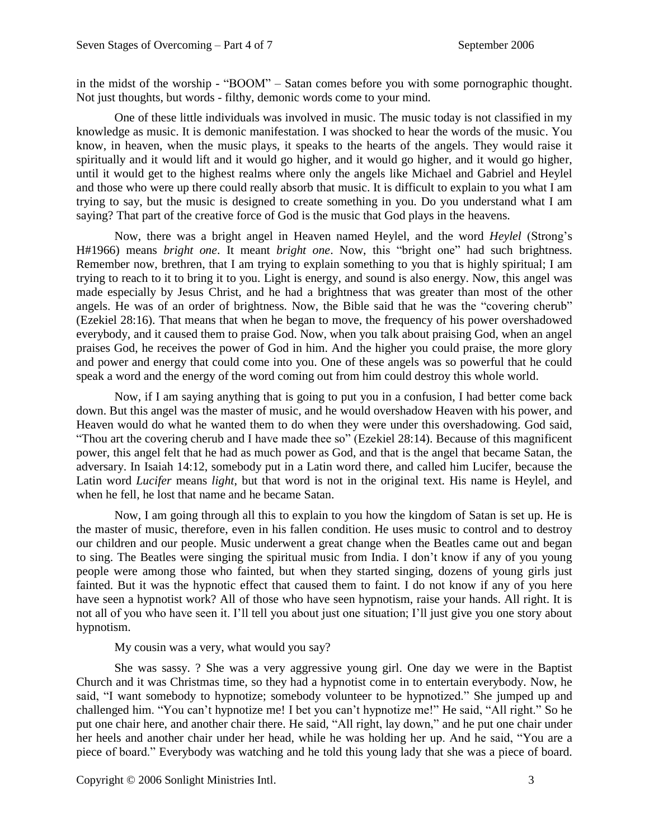in the midst of the worship - "BOOM" – Satan comes before you with some pornographic thought. Not just thoughts, but words - filthy, demonic words come to your mind.

One of these little individuals was involved in music. The music today is not classified in my knowledge as music. It is demonic manifestation. I was shocked to hear the words of the music. You know, in heaven, when the music plays, it speaks to the hearts of the angels. They would raise it spiritually and it would lift and it would go higher, and it would go higher, and it would go higher, until it would get to the highest realms where only the angels like Michael and Gabriel and Heylel and those who were up there could really absorb that music. It is difficult to explain to you what I am trying to say, but the music is designed to create something in you. Do you understand what I am saying? That part of the creative force of God is the music that God plays in the heavens.

Now, there was a bright angel in Heaven named Heylel, and the word *Heylel* (Strong's H#1966) means *bright one*. It meant *bright one*. Now, this "bright one" had such brightness. Remember now, brethren, that I am trying to explain something to you that is highly spiritual; I am trying to reach to it to bring it to you. Light is energy, and sound is also energy. Now, this angel was made especially by Jesus Christ, and he had a brightness that was greater than most of the other angels. He was of an order of brightness. Now, the Bible said that he was the "covering cherub" (Ezekiel 28:16). That means that when he began to move, the frequency of his power overshadowed everybody, and it caused them to praise God. Now, when you talk about praising God, when an angel praises God, he receives the power of God in him. And the higher you could praise, the more glory and power and energy that could come into you. One of these angels was so powerful that he could speak a word and the energy of the word coming out from him could destroy this whole world.

Now, if I am saying anything that is going to put you in a confusion, I had better come back down. But this angel was the master of music, and he would overshadow Heaven with his power, and Heaven would do what he wanted them to do when they were under this overshadowing. God said, "Thou art the covering cherub and I have made thee so" (Ezekiel 28:14). Because of this magnificent power, this angel felt that he had as much power as God, and that is the angel that became Satan, the adversary. In Isaiah 14:12, somebody put in a Latin word there, and called him Lucifer, because the Latin word *Lucifer* means *light*, but that word is not in the original text. His name is Heylel, and when he fell, he lost that name and he became Satan.

Now, I am going through all this to explain to you how the kingdom of Satan is set up. He is the master of music, therefore, even in his fallen condition. He uses music to control and to destroy our children and our people. Music underwent a great change when the Beatles came out and began to sing. The Beatles were singing the spiritual music from India. I don't know if any of you young people were among those who fainted, but when they started singing, dozens of young girls just fainted. But it was the hypnotic effect that caused them to faint. I do not know if any of you here have seen a hypnotist work? All of those who have seen hypnotism, raise your hands. All right. It is not all of you who have seen it. I'll tell you about just one situation; I'll just give you one story about hypnotism.

My cousin was a very, what would you say?

She was sassy. ? She was a very aggressive young girl. One day we were in the Baptist Church and it was Christmas time, so they had a hypnotist come in to entertain everybody. Now, he said, "I want somebody to hypnotize; somebody volunteer to be hypnotized." She jumped up and challenged him. "You can't hypnotize me! I bet you can't hypnotize me!" He said, "All right." So he put one chair here, and another chair there. He said, "All right, lay down," and he put one chair under her heels and another chair under her head, while he was holding her up. And he said, "You are a piece of board." Everybody was watching and he told this young lady that she was a piece of board.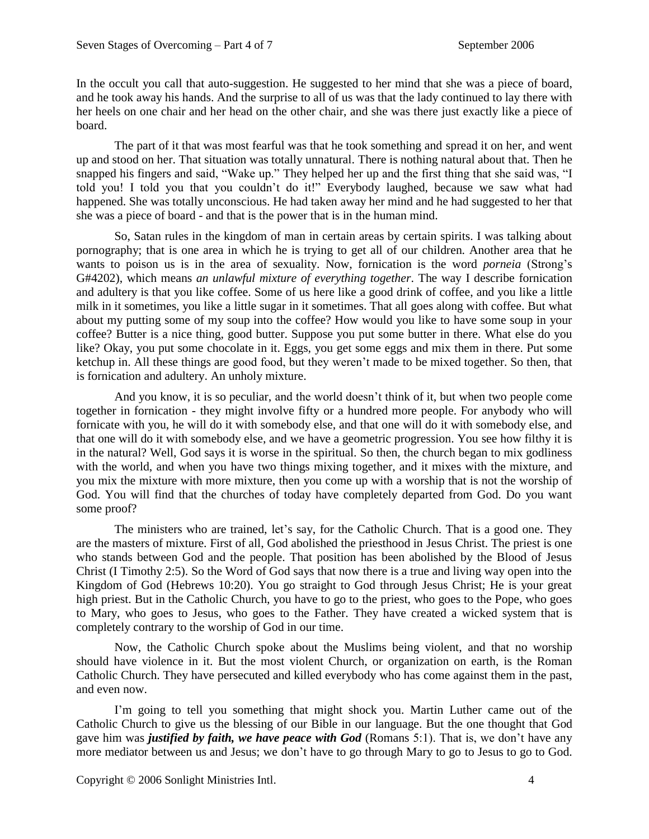In the occult you call that auto-suggestion. He suggested to her mind that she was a piece of board, and he took away his hands. And the surprise to all of us was that the lady continued to lay there with her heels on one chair and her head on the other chair, and she was there just exactly like a piece of board.

The part of it that was most fearful was that he took something and spread it on her, and went up and stood on her. That situation was totally unnatural. There is nothing natural about that. Then he snapped his fingers and said, "Wake up." They helped her up and the first thing that she said was, "I told you! I told you that you couldn't do it!" Everybody laughed, because we saw what had happened. She was totally unconscious. He had taken away her mind and he had suggested to her that she was a piece of board - and that is the power that is in the human mind.

So, Satan rules in the kingdom of man in certain areas by certain spirits. I was talking about pornography; that is one area in which he is trying to get all of our children. Another area that he wants to poison us is in the area of sexuality. Now, fornication is the word *porneia* (Strong's G#4202), which means *an unlawful mixture of everything together*. The way I describe fornication and adultery is that you like coffee. Some of us here like a good drink of coffee, and you like a little milk in it sometimes, you like a little sugar in it sometimes. That all goes along with coffee. But what about my putting some of my soup into the coffee? How would you like to have some soup in your coffee? Butter is a nice thing, good butter. Suppose you put some butter in there. What else do you like? Okay, you put some chocolate in it. Eggs, you get some eggs and mix them in there. Put some ketchup in. All these things are good food, but they weren't made to be mixed together. So then, that is fornication and adultery. An unholy mixture.

And you know, it is so peculiar, and the world doesn't think of it, but when two people come together in fornication - they might involve fifty or a hundred more people. For anybody who will fornicate with you, he will do it with somebody else, and that one will do it with somebody else, and that one will do it with somebody else, and we have a geometric progression. You see how filthy it is in the natural? Well, God says it is worse in the spiritual. So then, the church began to mix godliness with the world, and when you have two things mixing together, and it mixes with the mixture, and you mix the mixture with more mixture, then you come up with a worship that is not the worship of God. You will find that the churches of today have completely departed from God. Do you want some proof?

The ministers who are trained, let's say, for the Catholic Church. That is a good one. They are the masters of mixture. First of all, God abolished the priesthood in Jesus Christ. The priest is one who stands between God and the people. That position has been abolished by the Blood of Jesus Christ (I Timothy 2:5). So the Word of God says that now there is a true and living way open into the Kingdom of God (Hebrews 10:20). You go straight to God through Jesus Christ; He is your great high priest. But in the Catholic Church, you have to go to the priest, who goes to the Pope, who goes to Mary, who goes to Jesus, who goes to the Father. They have created a wicked system that is completely contrary to the worship of God in our time.

Now, the Catholic Church spoke about the Muslims being violent, and that no worship should have violence in it. But the most violent Church, or organization on earth, is the Roman Catholic Church. They have persecuted and killed everybody who has come against them in the past, and even now.

I'm going to tell you something that might shock you. Martin Luther came out of the Catholic Church to give us the blessing of our Bible in our language. But the one thought that God gave him was *justified by faith, we have peace with God* (Romans 5:1). That is, we don't have any more mediator between us and Jesus; we don't have to go through Mary to go to Jesus to go to God.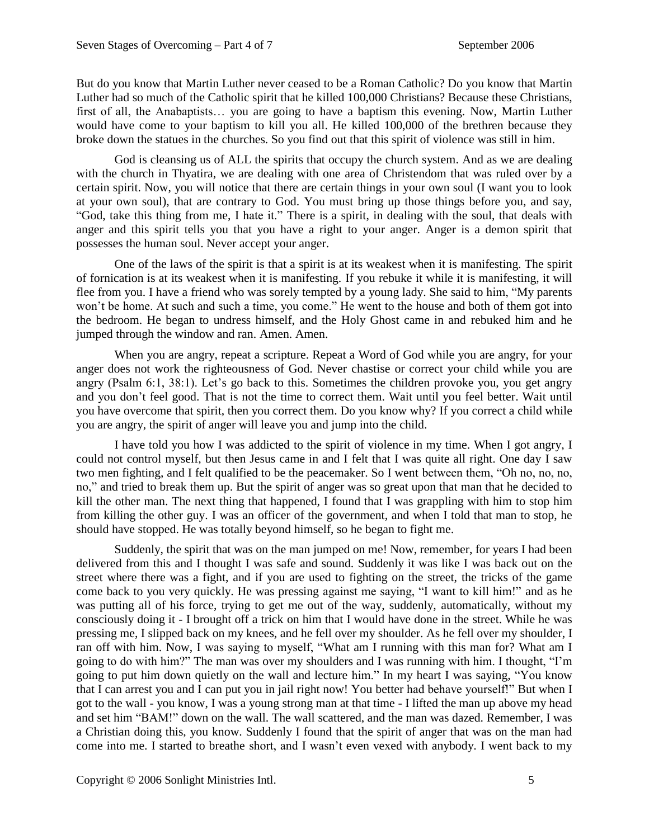But do you know that Martin Luther never ceased to be a Roman Catholic? Do you know that Martin Luther had so much of the Catholic spirit that he killed 100,000 Christians? Because these Christians, first of all, the Anabaptists… you are going to have a baptism this evening. Now, Martin Luther would have come to your baptism to kill you all. He killed 100,000 of the brethren because they broke down the statues in the churches. So you find out that this spirit of violence was still in him.

God is cleansing us of ALL the spirits that occupy the church system. And as we are dealing with the church in Thyatira, we are dealing with one area of Christendom that was ruled over by a certain spirit. Now, you will notice that there are certain things in your own soul (I want you to look at your own soul), that are contrary to God. You must bring up those things before you, and say, "God, take this thing from me, I hate it." There is a spirit, in dealing with the soul, that deals with anger and this spirit tells you that you have a right to your anger. Anger is a demon spirit that possesses the human soul. Never accept your anger.

One of the laws of the spirit is that a spirit is at its weakest when it is manifesting. The spirit of fornication is at its weakest when it is manifesting. If you rebuke it while it is manifesting, it will flee from you. I have a friend who was sorely tempted by a young lady. She said to him, "My parents won't be home. At such and such a time, you come." He went to the house and both of them got into the bedroom. He began to undress himself, and the Holy Ghost came in and rebuked him and he jumped through the window and ran. Amen. Amen.

When you are angry, repeat a scripture. Repeat a Word of God while you are angry, for your anger does not work the righteousness of God. Never chastise or correct your child while you are angry (Psalm 6:1, 38:1). Let's go back to this. Sometimes the children provoke you, you get angry and you don't feel good. That is not the time to correct them. Wait until you feel better. Wait until you have overcome that spirit, then you correct them. Do you know why? If you correct a child while you are angry, the spirit of anger will leave you and jump into the child.

I have told you how I was addicted to the spirit of violence in my time. When I got angry, I could not control myself, but then Jesus came in and I felt that I was quite all right. One day I saw two men fighting, and I felt qualified to be the peacemaker. So I went between them, "Oh no, no, no, no," and tried to break them up. But the spirit of anger was so great upon that man that he decided to kill the other man. The next thing that happened, I found that I was grappling with him to stop him from killing the other guy. I was an officer of the government, and when I told that man to stop, he should have stopped. He was totally beyond himself, so he began to fight me.

Suddenly, the spirit that was on the man jumped on me! Now, remember, for years I had been delivered from this and I thought I was safe and sound. Suddenly it was like I was back out on the street where there was a fight, and if you are used to fighting on the street, the tricks of the game come back to you very quickly. He was pressing against me saying, "I want to kill him!" and as he was putting all of his force, trying to get me out of the way, suddenly, automatically, without my consciously doing it - I brought off a trick on him that I would have done in the street. While he was pressing me, I slipped back on my knees, and he fell over my shoulder. As he fell over my shoulder, I ran off with him. Now, I was saying to myself, "What am I running with this man for? What am I going to do with him?" The man was over my shoulders and I was running with him. I thought, "I'm going to put him down quietly on the wall and lecture him." In my heart I was saying, "You know that I can arrest you and I can put you in jail right now! You better had behave yourself!" But when I got to the wall - you know, I was a young strong man at that time - I lifted the man up above my head and set him "BAM!" down on the wall. The wall scattered, and the man was dazed. Remember, I was a Christian doing this, you know. Suddenly I found that the spirit of anger that was on the man had come into me. I started to breathe short, and I wasn't even vexed with anybody. I went back to my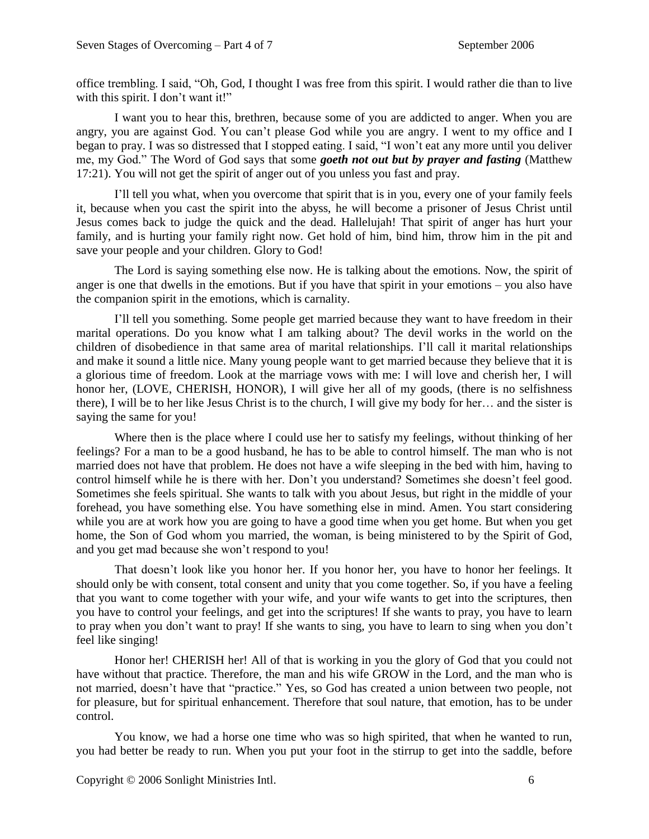office trembling. I said, "Oh, God, I thought I was free from this spirit. I would rather die than to live with this spirit. I don't want it!"

I want you to hear this, brethren, because some of you are addicted to anger. When you are angry, you are against God. You can't please God while you are angry. I went to my office and I began to pray. I was so distressed that I stopped eating. I said, "I won't eat any more until you deliver me, my God." The Word of God says that some *goeth not out but by prayer and fasting* (Matthew 17:21). You will not get the spirit of anger out of you unless you fast and pray.

I'll tell you what, when you overcome that spirit that is in you, every one of your family feels it, because when you cast the spirit into the abyss, he will become a prisoner of Jesus Christ until Jesus comes back to judge the quick and the dead. Hallelujah! That spirit of anger has hurt your family, and is hurting your family right now. Get hold of him, bind him, throw him in the pit and save your people and your children. Glory to God!

The Lord is saying something else now. He is talking about the emotions. Now, the spirit of anger is one that dwells in the emotions. But if you have that spirit in your emotions – you also have the companion spirit in the emotions, which is carnality.

I'll tell you something. Some people get married because they want to have freedom in their marital operations. Do you know what I am talking about? The devil works in the world on the children of disobedience in that same area of marital relationships. I'll call it marital relationships and make it sound a little nice. Many young people want to get married because they believe that it is a glorious time of freedom. Look at the marriage vows with me: I will love and cherish her, I will honor her, (LOVE, CHERISH, HONOR), I will give her all of my goods, (there is no selfishness there), I will be to her like Jesus Christ is to the church, I will give my body for her… and the sister is saying the same for you!

Where then is the place where I could use her to satisfy my feelings, without thinking of her feelings? For a man to be a good husband, he has to be able to control himself. The man who is not married does not have that problem. He does not have a wife sleeping in the bed with him, having to control himself while he is there with her. Don't you understand? Sometimes she doesn't feel good. Sometimes she feels spiritual. She wants to talk with you about Jesus, but right in the middle of your forehead, you have something else. You have something else in mind. Amen. You start considering while you are at work how you are going to have a good time when you get home. But when you get home, the Son of God whom you married, the woman, is being ministered to by the Spirit of God, and you get mad because she won't respond to you!

That doesn't look like you honor her. If you honor her, you have to honor her feelings. It should only be with consent, total consent and unity that you come together. So, if you have a feeling that you want to come together with your wife, and your wife wants to get into the scriptures, then you have to control your feelings, and get into the scriptures! If she wants to pray, you have to learn to pray when you don't want to pray! If she wants to sing, you have to learn to sing when you don't feel like singing!

Honor her! CHERISH her! All of that is working in you the glory of God that you could not have without that practice. Therefore, the man and his wife GROW in the Lord, and the man who is not married, doesn't have that "practice." Yes, so God has created a union between two people, not for pleasure, but for spiritual enhancement. Therefore that soul nature, that emotion, has to be under control.

You know, we had a horse one time who was so high spirited, that when he wanted to run, you had better be ready to run. When you put your foot in the stirrup to get into the saddle, before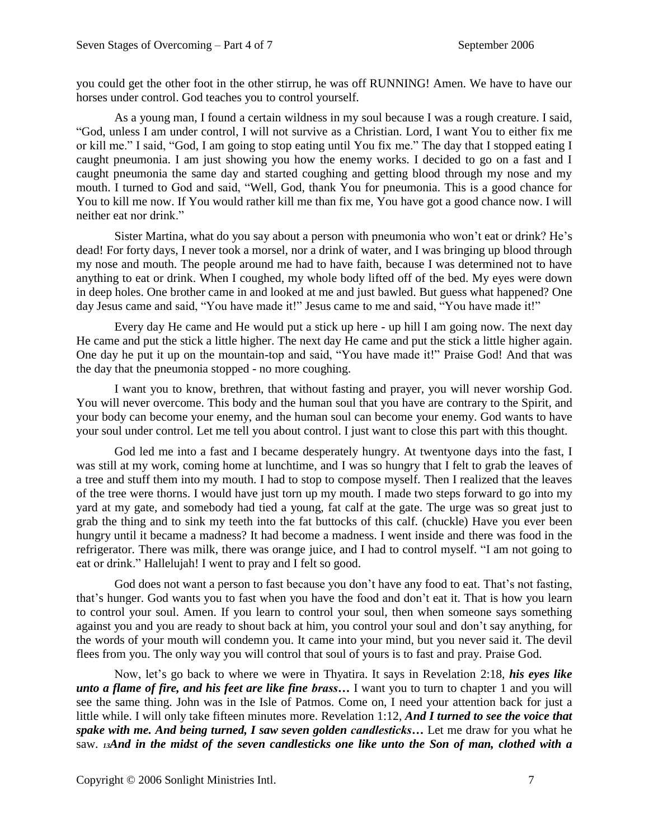you could get the other foot in the other stirrup, he was off RUNNING! Amen. We have to have our horses under control. God teaches you to control yourself.

As a young man, I found a certain wildness in my soul because I was a rough creature. I said, "God, unless I am under control, I will not survive as a Christian. Lord, I want You to either fix me or kill me." I said, "God, I am going to stop eating until You fix me." The day that I stopped eating I caught pneumonia. I am just showing you how the enemy works. I decided to go on a fast and I caught pneumonia the same day and started coughing and getting blood through my nose and my mouth. I turned to God and said, "Well, God, thank You for pneumonia. This is a good chance for You to kill me now. If You would rather kill me than fix me, You have got a good chance now. I will neither eat nor drink."

Sister Martina, what do you say about a person with pneumonia who won't eat or drink? He's dead! For forty days, I never took a morsel, nor a drink of water, and I was bringing up blood through my nose and mouth. The people around me had to have faith, because I was determined not to have anything to eat or drink. When I coughed, my whole body lifted off of the bed. My eyes were down in deep holes. One brother came in and looked at me and just bawled. But guess what happened? One day Jesus came and said, "You have made it!" Jesus came to me and said, "You have made it!"

Every day He came and He would put a stick up here - up hill I am going now. The next day He came and put the stick a little higher. The next day He came and put the stick a little higher again. One day he put it up on the mountain-top and said, "You have made it!" Praise God! And that was the day that the pneumonia stopped - no more coughing.

I want you to know, brethren, that without fasting and prayer, you will never worship God. You will never overcome. This body and the human soul that you have are contrary to the Spirit, and your body can become your enemy, and the human soul can become your enemy. God wants to have your soul under control. Let me tell you about control. I just want to close this part with this thought.

God led me into a fast and I became desperately hungry. At twentyone days into the fast, I was still at my work, coming home at lunchtime, and I was so hungry that I felt to grab the leaves of a tree and stuff them into my mouth. I had to stop to compose myself. Then I realized that the leaves of the tree were thorns. I would have just torn up my mouth. I made two steps forward to go into my yard at my gate, and somebody had tied a young, fat calf at the gate. The urge was so great just to grab the thing and to sink my teeth into the fat buttocks of this calf. (chuckle) Have you ever been hungry until it became a madness? It had become a madness. I went inside and there was food in the refrigerator. There was milk, there was orange juice, and I had to control myself. "I am not going to eat or drink." Hallelujah! I went to pray and I felt so good.

God does not want a person to fast because you don't have any food to eat. That's not fasting, that's hunger. God wants you to fast when you have the food and don't eat it. That is how you learn to control your soul. Amen. If you learn to control your soul, then when someone says something against you and you are ready to shout back at him, you control your soul and don't say anything, for the words of your mouth will condemn you. It came into your mind, but you never said it. The devil flees from you. The only way you will control that soul of yours is to fast and pray. Praise God.

Now, let's go back to where we were in Thyatira. It says in Revelation 2:18, *his eyes like unto a flame of fire, and his feet are like fine brass…* I want you to turn to chapter 1 and you will see the same thing. John was in the Isle of Patmos. Come on, I need your attention back for just a little while. I will only take fifteen minutes more. Revelation 1:12, *And I turned to see the voice that spake with me. And being turned, I saw seven golden candlesticks…* Let me draw for you what he saw. *13And in the midst of the seven candlesticks one like unto the Son of man, clothed with a*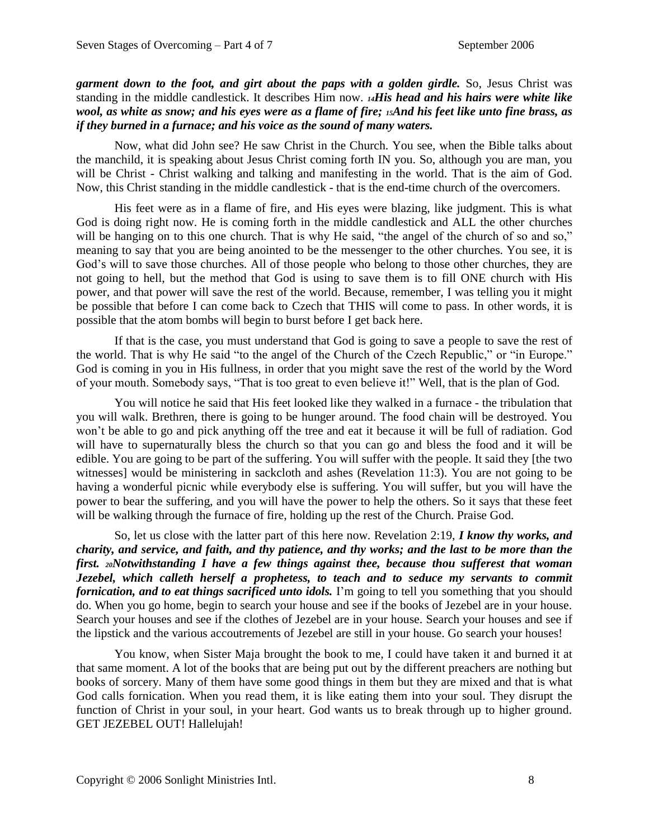## *garment down to the foot, and girt about the paps with a golden girdle.* So, Jesus Christ was standing in the middle candlestick. It describes Him now. *14His head and his hairs were white like wool, as white as snow; and his eyes were as a flame of fire; 15And his feet like unto fine brass, as if they burned in a furnace; and his voice as the sound of many waters.*

Now, what did John see? He saw Christ in the Church. You see, when the Bible talks about the manchild, it is speaking about Jesus Christ coming forth IN you. So, although you are man, you will be Christ - Christ walking and talking and manifesting in the world. That is the aim of God. Now, this Christ standing in the middle candlestick - that is the end-time church of the overcomers.

His feet were as in a flame of fire, and His eyes were blazing, like judgment. This is what God is doing right now. He is coming forth in the middle candlestick and ALL the other churches will be hanging on to this one church. That is why He said, "the angel of the church of so and so," meaning to say that you are being anointed to be the messenger to the other churches. You see, it is God's will to save those churches. All of those people who belong to those other churches, they are not going to hell, but the method that God is using to save them is to fill ONE church with His power, and that power will save the rest of the world. Because, remember, I was telling you it might be possible that before I can come back to Czech that THIS will come to pass. In other words, it is possible that the atom bombs will begin to burst before I get back here.

If that is the case, you must understand that God is going to save a people to save the rest of the world. That is why He said "to the angel of the Church of the Czech Republic," or "in Europe." God is coming in you in His fullness, in order that you might save the rest of the world by the Word of your mouth. Somebody says, "That is too great to even believe it!" Well, that is the plan of God.

You will notice he said that His feet looked like they walked in a furnace - the tribulation that you will walk. Brethren, there is going to be hunger around. The food chain will be destroyed. You won't be able to go and pick anything off the tree and eat it because it will be full of radiation. God will have to supernaturally bless the church so that you can go and bless the food and it will be edible. You are going to be part of the suffering. You will suffer with the people. It said they [the two witnesses] would be ministering in sackcloth and ashes (Revelation 11:3). You are not going to be having a wonderful picnic while everybody else is suffering. You will suffer, but you will have the power to bear the suffering, and you will have the power to help the others. So it says that these feet will be walking through the furnace of fire, holding up the rest of the Church. Praise God.

So, let us close with the latter part of this here now. Revelation 2:19, *I know thy works, and charity, and service, and faith, and thy patience, and thy works; and the last to be more than the first. 20Notwithstanding I have a few things against thee, because thou sufferest that woman Jezebel, which calleth herself a prophetess, to teach and to seduce my servants to commit fornication, and to eat things sacrificed unto idols.* I'm going to tell you something that you should do. When you go home, begin to search your house and see if the books of Jezebel are in your house. Search your houses and see if the clothes of Jezebel are in your house. Search your houses and see if the lipstick and the various accoutrements of Jezebel are still in your house. Go search your houses!

You know, when Sister Maja brought the book to me, I could have taken it and burned it at that same moment. A lot of the books that are being put out by the different preachers are nothing but books of sorcery. Many of them have some good things in them but they are mixed and that is what God calls fornication. When you read them, it is like eating them into your soul. They disrupt the function of Christ in your soul, in your heart. God wants us to break through up to higher ground. GET JEZEBEL OUT! Hallelujah!